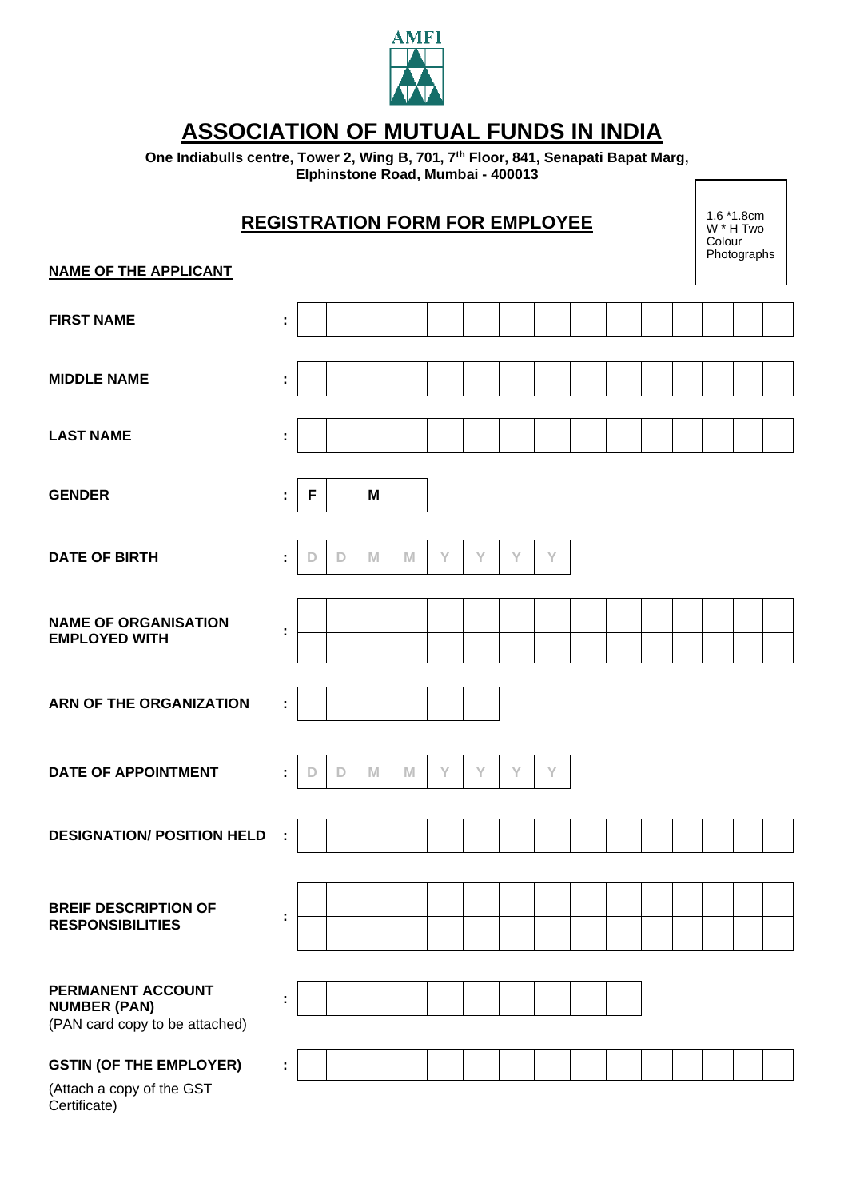

## **ASSOCIATION OF MUTUAL FUNDS IN INDIA**

**One Indiabulls centre, Tower 2, Wing B, 701, 7th Floor, 841, Senapati Bapat Marg, Elphinstone Road, Mumbai - 400013**   $\overline{\phantom{a}}$ 

| <b>REGISTRATION FORM FOR EMPLOYEE</b>                                       |    |   |   |   |   |   |   |   |   |  |  |  |  | $1.6*1.8cm$<br>W * H Two<br>Colour<br>Photographs |  |  |
|-----------------------------------------------------------------------------|----|---|---|---|---|---|---|---|---|--|--|--|--|---------------------------------------------------|--|--|
| <b>NAME OF THE APPLICANT</b>                                                |    |   |   |   |   |   |   |   |   |  |  |  |  |                                                   |  |  |
| <b>FIRST NAME</b>                                                           | t  |   |   |   |   |   |   |   |   |  |  |  |  |                                                   |  |  |
| <b>MIDDLE NAME</b>                                                          | t  |   |   |   |   |   |   |   |   |  |  |  |  |                                                   |  |  |
| <b>LAST NAME</b>                                                            | t  |   |   |   |   |   |   |   |   |  |  |  |  |                                                   |  |  |
| <b>GENDER</b>                                                               | t, | F |   | M |   |   |   |   |   |  |  |  |  |                                                   |  |  |
| <b>DATE OF BIRTH</b>                                                        | ÷  | D | D | M | M | Y | Y | Y | Y |  |  |  |  |                                                   |  |  |
| <b>NAME OF ORGANISATION</b><br><b>EMPLOYED WITH</b>                         | ÷  |   |   |   |   |   |   |   |   |  |  |  |  |                                                   |  |  |
| <b>ARN OF THE ORGANIZATION</b>                                              | ÷  |   |   |   |   |   |   |   |   |  |  |  |  |                                                   |  |  |
| <b>DATE OF APPOINTMENT</b>                                                  | ÷  | D | D | M | M | Y | Υ | Y | Y |  |  |  |  |                                                   |  |  |
| <b>DESIGNATION/ POSITION HELD</b>                                           |    |   |   |   |   |   |   |   |   |  |  |  |  |                                                   |  |  |
| <b>BREIF DESCRIPTION OF</b><br><b>RESPONSIBILITIES</b>                      | t, |   |   |   |   |   |   |   |   |  |  |  |  |                                                   |  |  |
| PERMANENT ACCOUNT<br><b>NUMBER (PAN)</b><br>(PAN card copy to be attached)  | ÷  |   |   |   |   |   |   |   |   |  |  |  |  |                                                   |  |  |
| <b>GSTIN (OF THE EMPLOYER)</b><br>(Attach a copy of the GST<br>Certificate) | t, |   |   |   |   |   |   |   |   |  |  |  |  |                                                   |  |  |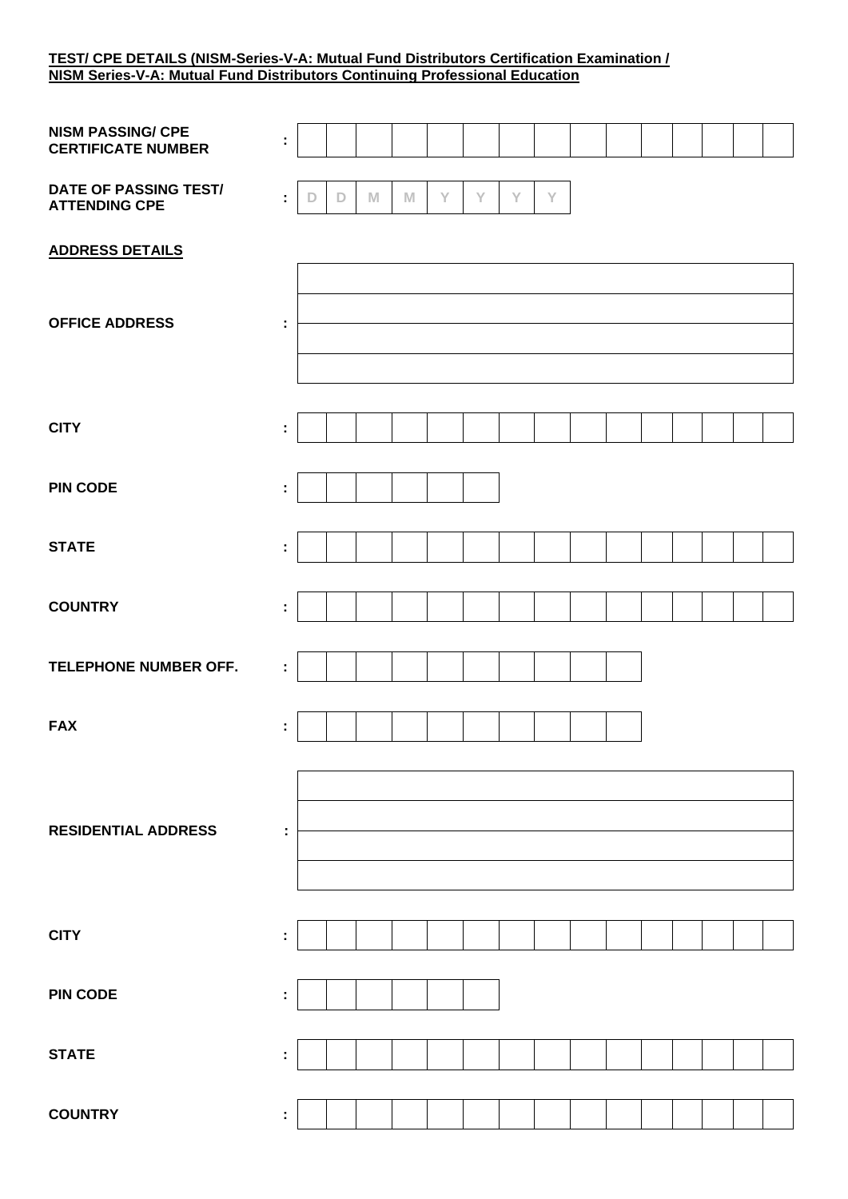## **TEST/ CPE DETAILS (NISM-Series-V-A: Mutual Fund Distributors Certification Examination / NISM Series-V-A: Mutual Fund Distributors Continuing Professional Education**

| <b>NISM PASSING/ CPE</b><br><b>CERTIFICATE NUMBER</b> | ÷                    |   |             |   |   |   |   |   |             |  |  |  |  |
|-------------------------------------------------------|----------------------|---|-------------|---|---|---|---|---|-------------|--|--|--|--|
| DATE OF PASSING TEST/<br><b>ATTENDING CPE</b>         | ÷                    | D | $\mathbb D$ | M | M | Y | Y | Y | $\mathsf Y$ |  |  |  |  |
| <b>ADDRESS DETAILS</b>                                |                      |   |             |   |   |   |   |   |             |  |  |  |  |
| <b>OFFICE ADDRESS</b>                                 | ÷                    |   |             |   |   |   |   |   |             |  |  |  |  |
| <b>CITY</b>                                           | ÷                    |   |             |   |   |   |   |   |             |  |  |  |  |
| <b>PIN CODE</b>                                       | ÷                    |   |             |   |   |   |   |   |             |  |  |  |  |
| <b>STATE</b>                                          | ÷                    |   |             |   |   |   |   |   |             |  |  |  |  |
| <b>COUNTRY</b>                                        | ÷                    |   |             |   |   |   |   |   |             |  |  |  |  |
| TELEPHONE NUMBER OFF.                                 | $\ddot{\phantom{a}}$ |   |             |   |   |   |   |   |             |  |  |  |  |
| <b>FAX</b>                                            | ÷                    |   |             |   |   |   |   |   |             |  |  |  |  |
| <b>RESIDENTIAL ADDRESS</b>                            | ÷                    |   |             |   |   |   |   |   |             |  |  |  |  |
| <b>CITY</b>                                           | ÷                    |   |             |   |   |   |   |   |             |  |  |  |  |
| <b>PIN CODE</b>                                       | ÷                    |   |             |   |   |   |   |   |             |  |  |  |  |
| <b>STATE</b>                                          | ÷                    |   |             |   |   |   |   |   |             |  |  |  |  |
| <b>COUNTRY</b>                                        | ÷,                   |   |             |   |   |   |   |   |             |  |  |  |  |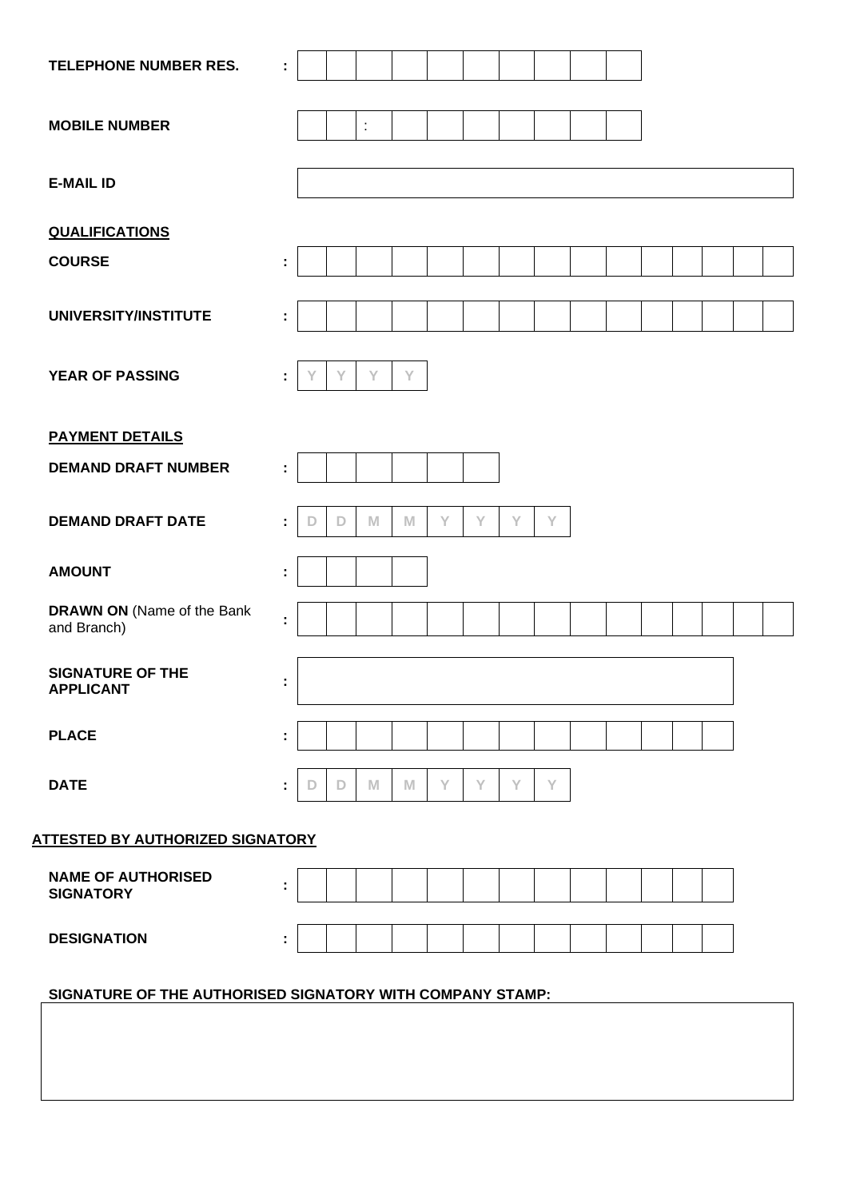| TELEPHONE NUMBER RES.                                     | ÷  |   |   |                      |   |   |   |   |   |  |  |  |  |
|-----------------------------------------------------------|----|---|---|----------------------|---|---|---|---|---|--|--|--|--|
|                                                           |    |   |   |                      |   |   |   |   |   |  |  |  |  |
| <b>MOBILE NUMBER</b>                                      |    |   |   | $\ddot{\phantom{a}}$ |   |   |   |   |   |  |  |  |  |
| <b>E-MAIL ID</b>                                          |    |   |   |                      |   |   |   |   |   |  |  |  |  |
|                                                           |    |   |   |                      |   |   |   |   |   |  |  |  |  |
| <b>QUALIFICATIONS</b>                                     |    |   |   |                      |   |   |   |   |   |  |  |  |  |
| <b>COURSE</b>                                             | ÷  |   |   |                      |   |   |   |   |   |  |  |  |  |
| UNIVERSITY/INSTITUTE                                      | t  |   |   |                      |   |   |   |   |   |  |  |  |  |
|                                                           |    |   |   |                      |   |   |   |   |   |  |  |  |  |
| <b>YEAR OF PASSING</b>                                    | ÷  | Y | Υ | Y                    | Y |   |   |   |   |  |  |  |  |
|                                                           |    |   |   |                      |   |   |   |   |   |  |  |  |  |
| <b>PAYMENT DETAILS</b>                                    |    |   |   |                      |   |   |   |   |   |  |  |  |  |
| <b>DEMAND DRAFT NUMBER</b>                                | ÷. |   |   |                      |   |   |   |   |   |  |  |  |  |
| <b>DEMAND DRAFT DATE</b>                                  | ÷  | D | D | M                    | M | Y | Y | Y | Y |  |  |  |  |
|                                                           |    |   |   |                      |   |   |   |   |   |  |  |  |  |
| <b>AMOUNT</b>                                             | ÷  |   |   |                      |   |   |   |   |   |  |  |  |  |
| <b>DRAWN ON (Name of the Bank</b><br>and Branch)          | ÷  |   |   |                      |   |   |   |   |   |  |  |  |  |
|                                                           |    |   |   |                      |   |   |   |   |   |  |  |  |  |
| <b>SIGNATURE OF THE</b><br><b>APPLICANT</b>               | ÷  |   |   |                      |   |   |   |   |   |  |  |  |  |
|                                                           |    |   |   |                      |   |   |   |   |   |  |  |  |  |
| <b>PLACE</b>                                              | ÷  |   |   |                      |   |   |   |   |   |  |  |  |  |
| <b>DATE</b>                                               | ÷  | D | D | M                    | M | Y | Y | Y | Y |  |  |  |  |
|                                                           |    |   |   |                      |   |   |   |   |   |  |  |  |  |
| <b>ATTESTED BY AUTHORIZED SIGNATORY</b>                   |    |   |   |                      |   |   |   |   |   |  |  |  |  |
| <b>NAME OF AUTHORISED</b><br><b>SIGNATORY</b>             | ÷  |   |   |                      |   |   |   |   |   |  |  |  |  |
| <b>DESIGNATION</b>                                        |    |   |   |                      |   |   |   |   |   |  |  |  |  |
|                                                           |    |   |   |                      |   |   |   |   |   |  |  |  |  |
| SIGNATURE OF THE AUTHORISED SIGNATORY WITH COMPANY STAMP: |    |   |   |                      |   |   |   |   |   |  |  |  |  |
|                                                           |    |   |   |                      |   |   |   |   |   |  |  |  |  |